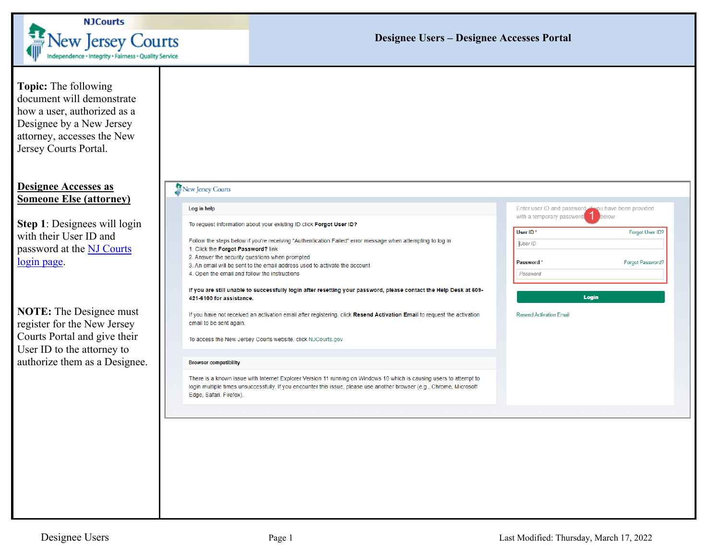

## **Designee Users – Designee Accesses Portal**

| <b>Topic:</b> The following<br>document will demonstrate<br>how a user, authorized as a<br>Designee by a New Jersey<br>attorney, accesses the New<br>Jersey Courts Portal. |                                                                                                                                                                                                                                                                         |                                                                                             |
|----------------------------------------------------------------------------------------------------------------------------------------------------------------------------|-------------------------------------------------------------------------------------------------------------------------------------------------------------------------------------------------------------------------------------------------------------------------|---------------------------------------------------------------------------------------------|
| <b>Designee Accesses as</b><br><b>Someone Else (attorney)</b>                                                                                                              | New Jersey Courts                                                                                                                                                                                                                                                       |                                                                                             |
|                                                                                                                                                                            | Log in help                                                                                                                                                                                                                                                             | Enter user ID and password If you have been provided<br>with a temporary password<br>below. |
| Step 1: Designees will login                                                                                                                                               | To request information about your existing ID click Forgot User ID?                                                                                                                                                                                                     | User ID*<br>Forgot User ID?                                                                 |
| with their User ID and                                                                                                                                                     | Follow the steps below if you're receiving "Authentication Failed" error message when attempting to log in                                                                                                                                                              | User ID                                                                                     |
| password at the NJ Courts                                                                                                                                                  | 1. Click the Forgot Password? link<br>2. Answer the security questions when prompted                                                                                                                                                                                    | Password*<br><b>Forgot Password?</b>                                                        |
| login page.                                                                                                                                                                | 3. An email will be sent to the email address used to activate the account<br>4. Open the email and follow the instructions                                                                                                                                             | Password                                                                                    |
|                                                                                                                                                                            |                                                                                                                                                                                                                                                                         |                                                                                             |
|                                                                                                                                                                            | If you are still unable to successfully login after resetting your password, please contact the Help Desk at 609-<br>421-6100 for assistance.                                                                                                                           | Login                                                                                       |
| <b>NOTE:</b> The Designee must                                                                                                                                             | If you have not received an activation email after registering, click Resend Activation Email to request the activation                                                                                                                                                 | <b>Resend Activation Email</b>                                                              |
| register for the New Jersey                                                                                                                                                | email to be sent again.                                                                                                                                                                                                                                                 |                                                                                             |
| Courts Portal and give their                                                                                                                                               | To access the New Jersey Courts website, click NJCourts.gov                                                                                                                                                                                                             |                                                                                             |
| User ID to the attorney to                                                                                                                                                 |                                                                                                                                                                                                                                                                         |                                                                                             |
| authorize them as a Designee.                                                                                                                                              | <b>Browser compatibility</b>                                                                                                                                                                                                                                            |                                                                                             |
|                                                                                                                                                                            | There is a known issue with Internet Explorer Version 11 running on Windows 10 which is causing users to attempt to<br>login multiple times unsuccessfully. If you encounter this issue, please use another browser (e.g., Chrome, Microsoft<br>Edge, Safari, Firefox). |                                                                                             |
|                                                                                                                                                                            |                                                                                                                                                                                                                                                                         |                                                                                             |
|                                                                                                                                                                            |                                                                                                                                                                                                                                                                         |                                                                                             |
|                                                                                                                                                                            |                                                                                                                                                                                                                                                                         |                                                                                             |
|                                                                                                                                                                            |                                                                                                                                                                                                                                                                         |                                                                                             |
|                                                                                                                                                                            |                                                                                                                                                                                                                                                                         |                                                                                             |
|                                                                                                                                                                            |                                                                                                                                                                                                                                                                         |                                                                                             |
|                                                                                                                                                                            |                                                                                                                                                                                                                                                                         |                                                                                             |
|                                                                                                                                                                            |                                                                                                                                                                                                                                                                         |                                                                                             |
|                                                                                                                                                                            |                                                                                                                                                                                                                                                                         |                                                                                             |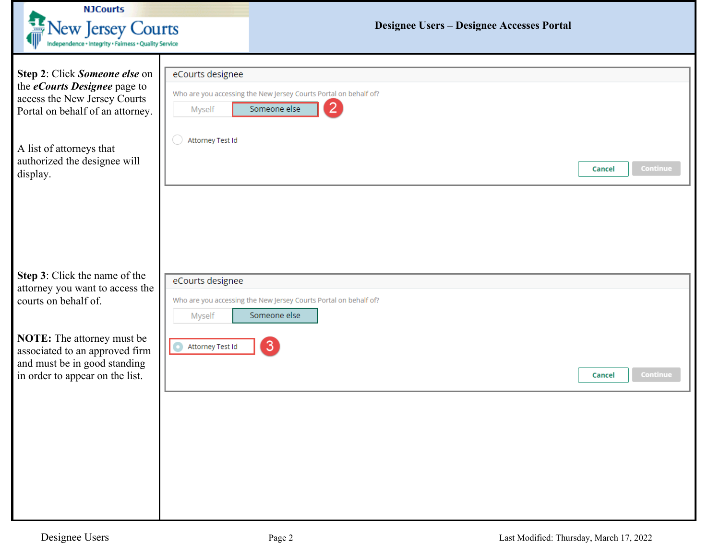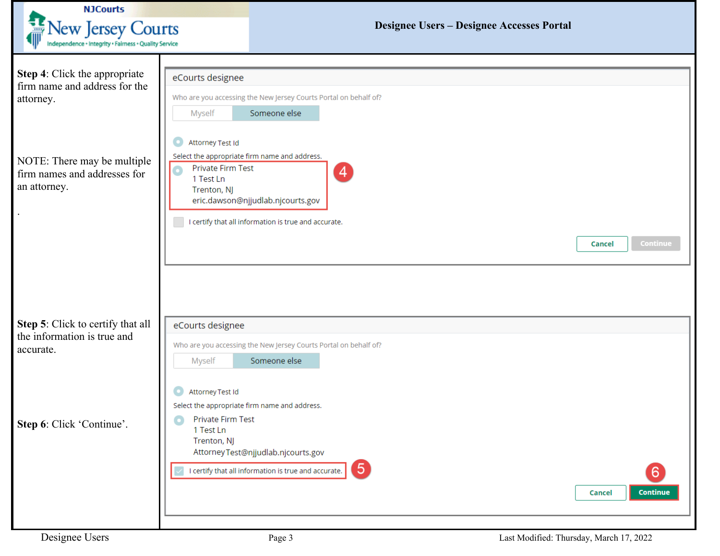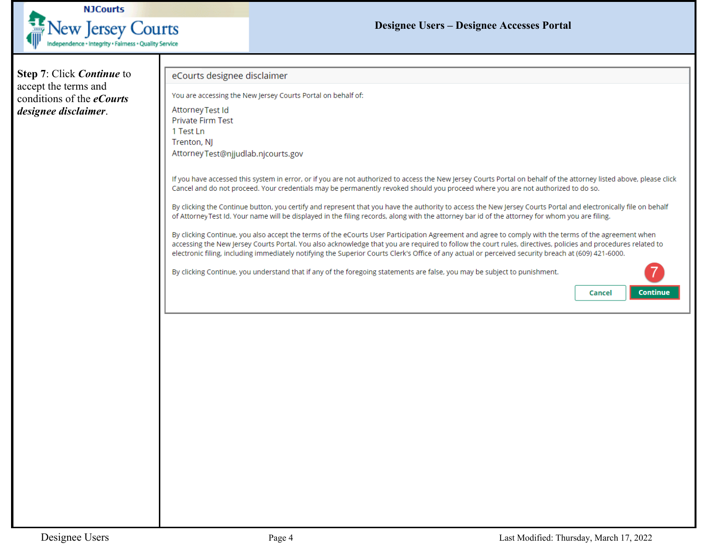